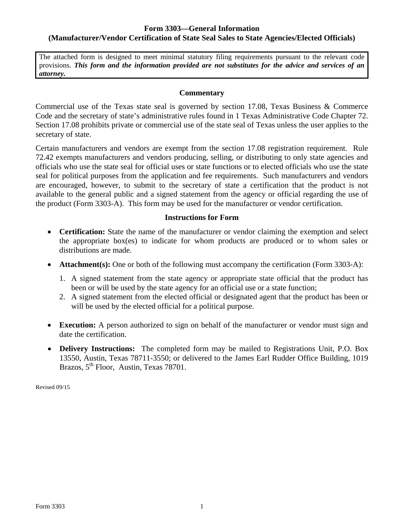## **Form 3303—General Information (Manufacturer/Vendor Certification of State Seal Sales to State Agencies/Elected Officials)**

The attached form is designed to meet minimal statutory filing requirements pursuant to the relevant code provisions. *This form and the information provided are not substitutes for the advice and services of an attorney.* 

#### **Commentary**

Commercial use of the Texas state seal is governed by section 17.08, Texas Business & Commerce Code and the secretary of state's administrative rules found in 1 Texas Administrative Code Chapter 72. Section 17.08 prohibits private or commercial use of the state seal of Texas unless the user applies to the secretary of state.

Certain manufacturers and vendors are exempt from the section 17.08 registration requirement. Rule 72.42 exempts manufacturers and vendors producing, selling, or distributing to only state agencies and officials who use the state seal for official uses or state functions or to elected officials who use the state seal for political purposes from the application and fee requirements. Such manufacturers and vendors are encouraged, however, to submit to the secretary of state a certification that the product is not available to the general public and a signed statement from the agency or official regarding the use of the product (Form 3303-A). This form may be used for the manufacturer or vendor certification.

### **Instructions for Form**

- **Certification:** State the name of the manufacturer or vendor claiming the exemption and select the appropriate box(es) to indicate for whom products are produced or to whom sales or distributions are made.
- Attachment(s): One or both of the following must accompany the certification (Form 3303-A):
	- 1. A signed statement from the state agency or appropriate state official that the product has been or will be used by the state agency for an official use or a state function;
	- 2. A signed statement from the elected official or designated agent that the product has been or will be used by the elected official for a political purpose.
- **Execution:** A person authorized to sign on behalf of the manufacturer or vendor must sign and date the certification.
- **Delivery Instructions:** The completed form may be mailed to Registrations Unit, P.O. Box 13550, Austin, Texas 78711-3550; or delivered to the James Earl Rudder Office Building, 1019 Brazos, 5<sup>th</sup> Floor, Austin, Texas 78701.

Revised 09/15